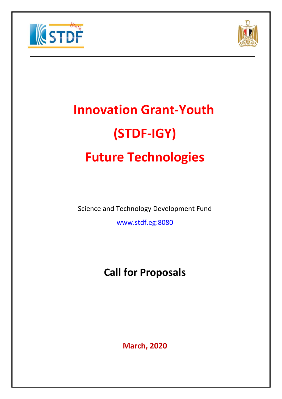



# **Innovation Grant-Youth (STDF-IGY) Future Technologies**

Science and Technology Development Fund

www.stdf.eg:8080

# **Call for Proposals**

**March, 2020**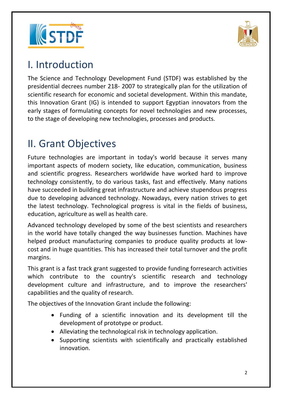



### I. Introduction

The Science and Technology Development Fund (STDF) was established by the presidential decrees number 218- 2007 to strategically plan for the utilization of scientific research for economic and societal development. Within this mandate, this Innovation Grant (IG) is intended to support Egyptian innovators from the early stages of formulating concepts for novel technologies and new processes, to the stage of developing new technologies, processes and products.

# II. Grant Objectives

Future technologies are important in today's world because it serves many important aspects of modern society, like education, communication, business and scientific progress. Researchers worldwide have worked hard to improve technology consistently, to do various tasks, fast and effectively. Many nations have succeeded in building great infrastructure and achieve stupendous progress due to developing advanced technology. Nowadays, every nation strives to get the latest technology. Technological progress is vital in the fields of business, education, agriculture as well as health care.

Advanced technology developed by some of the best scientists and researchers in the world have totally changed the way businesses function. Machines have helped product manufacturing companies to produce quality products at lowcost and in huge quantities. This has increased their total turnover and the profit margins.

This grant is a fast track grant suggested to provide funding forresearch activities which contribute to the country's scientific research and technology development culture and infrastructure, and to improve the researchers' capabilities and the quality of research.

The objectives of the Innovation Grant include the following:

- Funding of a scientific innovation and its development till the development of prototype or product.
- Alleviating the technological risk in technology application.
- Supporting scientists with scientifically and practically established innovation.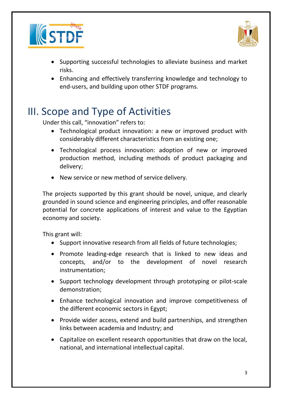



- Supporting successful technologies to alleviate business and market risks.
- Enhancing and effectively transferring knowledge and technology to end-users, and building upon other STDF programs.

## III. Scope and Type of Activities

Under this call, "innovation" refers to:

- Technological product innovation: a new or improved product with considerably different characteristics from an existing one;
- Technological process innovation: adoption of new or improved production method, including methods of product packaging and delivery;
- New service or new method of service delivery.

The projects supported by this grant should be novel, unique, and clearly grounded in sound science and engineering principles, and offer reasonable potential for concrete applications of interest and value to the Egyptian economy and society.

This grant will:

- Support innovative research from all fields of future technologies;
- Promote leading-edge research that is linked to new ideas and concepts, and/or to the development of novel research instrumentation;
- Support technology development through prototyping or pilot-scale demonstration;
- Enhance technological innovation and improve competitiveness of the different economic sectors in Egypt;
- Provide wider access, extend and build partnerships, and strengthen links between academia and Industry; and
- Capitalize on excellent research opportunities that draw on the local, national, and international intellectual capital.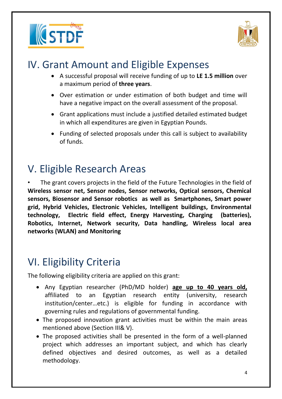



### IV. Grant Amount and Eligible Expenses

- A successful proposal will receive funding of up to **LE 1.5 million** over a maximum period of **three years**.
- Over estimation or under estimation of both budget and time will have a negative impact on the overall assessment of the proposal.
- Grant applications must include a justified detailed estimated budget in which all expenditures are given in Egyptian Pounds.
- Funding of selected proposals under this call is subject to availability of funds.

# V. Eligible Research Areas

The grant covers projects in the field of the Future Technologies in the field of **Wireless sensor net, Sensor nodes, Sensor networks, Optical sensors, Chemical sensors, Biosensor and Sensor robotics as well as Smartphones, Smart power grid, Hybrid Vehicles, Electronic Vehicles, Intelligent buildings, Environmental technology, Electric field effect, Energy Harvesting, Charging (batteries), Robotics, Internet, Network security, Data handling, Wireless local area networks (WLAN) and Monitoring**

## VI. Eligibility Criteria

The following eligibility criteria are applied on this grant:

- Any Egyptian researcher (PhD/MD holder) **age up to 40 years old,** affiliated to an Egyptian research entity (university, research institution/center…etc.) is eligible for funding in accordance with governing rules and regulations of governmental funding.
- The proposed innovation grant activities must be within the main areas mentioned above (Section III& V).
- The proposed activities shall be presented in the form of a well-planned project which addresses an important subject, and which has clearly defined objectives and desired outcomes, as well as a detailed methodology.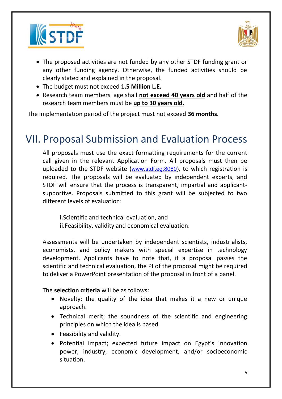



- The proposed activities are not funded by any other STDF funding grant or any other funding agency. Otherwise, the funded activities should be clearly stated and explained in the proposal.
- The budget must not exceed **1.5 Million L.E.**
- Research team members' age shall **not exceed 40 years old** and half of the research team members must be **up to 30 years old.**

The implementation period of the project must not exceed **36 months**.

### VII. Proposal Submission and Evaluation Process

All proposals must use the exact formatting requirements for the current call given in the relevant Application Form. All proposals must then be uploaded to the STDF website ([www.stdf.eg:8080\)](http://www.stdf.eg:8080/), to which registration is required. The proposals will be evaluated by independent experts, and STDF will ensure that the process is transparent, impartial and applicantsupportive. Proposals submitted to this grant will be subjected to two different levels of evaluation:

**i.**Scientific and technical evaluation, and **ii.**Feasibility, validity and economical evaluation.

Assessments will be undertaken by independent scientists, industrialists, economists, and policy makers with special expertise in technology development. Applicants have to note that, if a proposal passes the scientific and technical evaluation, the PI of the proposal might be required to deliver a PowerPoint presentation of the proposal in front of a panel.

The **selection criteria** will be as follows:

- Novelty; the quality of the idea that makes it a new or unique approach.
- Technical merit; the soundness of the scientific and engineering principles on which the idea is based.
- Feasibility and validity.
- Potential impact; expected future impact on Egypt's innovation power, industry, economic development, and/or socioeconomic situation.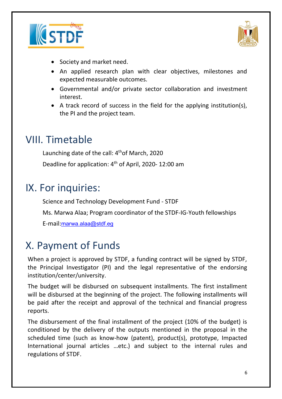



- Society and market need.
- An applied research plan with clear objectives, milestones and expected measurable outcomes.
- Governmental and/or private sector collaboration and investment interest.
- A track record of success in the field for the applying institution(s), the PI and the project team.

### VIII. Timetable

Launching date of the call: 4<sup>th</sup>of March, 2020 Deadline for application: 4 th of April, 2020- 12:00 am

### IX. For inquiries:

Science and Technology Development Fund - STDF

Ms. Marwa Alaa; Program coordinator of the STDF-IG-Youth fellowships

E-mail:[marwa.alaa@stdf.eg](mailto:marwa.alaa@stdf.eg)

### X. Payment of Funds

When a project is approved by STDF, a funding contract will be signed by STDF, the Principal Investigator (PI) and the legal representative of the endorsing institution/center/university.

The budget will be disbursed on subsequent installments. The first installment will be disbursed at the beginning of the project. The following installments will be paid after the receipt and approval of the technical and financial progress reports.

The disbursement of the final installment of the project (10% of the budget) is conditioned by the delivery of the outputs mentioned in the proposal in the scheduled time (such as know-how (patent), product(s), prototype, Impacted International journal articles …etc.) and subject to the internal rules and regulations of STDF.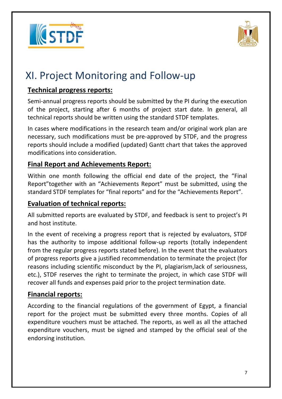



# XI. Project Monitoring and Follow-up

#### **Technical progress reports:**

Semi-annual progress reports should be submitted by the PI during the execution of the project, starting after 6 months of project start date. In general, all technical reports should be written using the standard STDF templates.

In cases where modifications in the research team and/or original work plan are necessary, such modifications must be pre-approved by STDF, and the progress reports should include a modified (updated) Gantt chart that takes the approved modifications into consideration.

#### **Final Report and Achievements Report:**

Within one month following the official end date of the project, the "Final Report"together with an "Achievements Report" must be submitted, using the standard STDF templates for "final reports" and for the "Achievements Report".

#### **Evaluation of technical reports:**

All submitted reports are evaluated by STDF, and feedback is sent to project's PI and host institute.

In the event of receiving a progress report that is rejected by evaluators, STDF has the authority to impose additional follow-up reports (totally independent from the regular progress reports stated before). In the event that the evaluators of progress reports give a justified recommendation to terminate the project (for reasons including scientific misconduct by the PI, plagiarism,lack of seriousness, etc.), STDF reserves the right to terminate the project, in which case STDF will recover all funds and expenses paid prior to the project termination date.

#### **Financial reports:**

According to the financial regulations of the government of Egypt, a financial report for the project must be submitted every three months. Copies of all expenditure vouchers must be attached. The reports, as well as all the attached expenditure vouchers, must be signed and stamped by the official seal of the endorsing institution.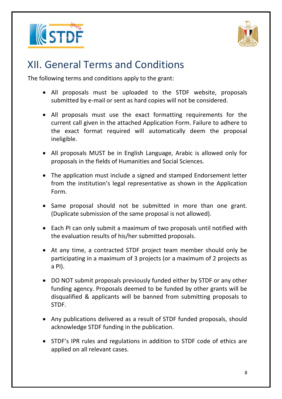



### XII. General Terms and Conditions

The following terms and conditions apply to the grant:

- All proposals must be uploaded to the STDF website, proposals submitted by e-mail or sent as hard copies will not be considered.
- All proposals must use the exact formatting requirements for the current call given in the attached Application Form. Failure to adhere to the exact format required will automatically deem the proposal ineligible.
- All proposals MUST be in English Language, Arabic is allowed only for proposals in the fields of Humanities and Social Sciences.
- The application must include a signed and stamped Endorsement letter from the institution's legal representative as shown in the Application Form.
- Same proposal should not be submitted in more than one grant. (Duplicate submission of the same proposal is not allowed).
- Each PI can only submit a maximum of two proposals until notified with the evaluation results of his/her submitted proposals.
- At any time, a contracted STDF project team member should only be participating in a maximum of 3 projects (or a maximum of 2 projects as a PI).
- DO NOT submit proposals previously funded either by STDF or any other funding agency. Proposals deemed to be funded by other grants will be disqualified & applicants will be banned from submitting proposals to STDF.
- Any publications delivered as a result of STDF funded proposals, should acknowledge STDF funding in the publication.
- STDF's IPR rules and regulations in addition to STDF code of ethics are applied on all relevant cases.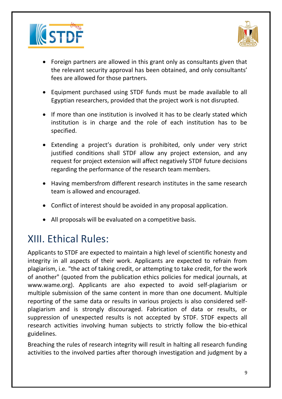



- Foreign partners are allowed in this grant only as consultants given that the relevant security approval has been obtained, and only consultants' fees are allowed for those partners.
- Equipment purchased using STDF funds must be made available to all Egyptian researchers, provided that the project work is not disrupted.
- If more than one institution is involved it has to be clearly stated which institution is in charge and the role of each institution has to be specified.
- Extending a project's duration is prohibited, only under very strict justified conditions shall STDF allow any project extension, and any request for project extension will affect negatively STDF future decisions regarding the performance of the research team members.
- Having membersfrom different research institutes in the same research team is allowed and encouraged.
- Conflict of interest should be avoided in any proposal application.
- All proposals will be evaluated on a competitive basis.

## XIII. Ethical Rules:

Applicants to STDF are expected to maintain a high level of scientific honesty and integrity in all aspects of their work. Applicants are expected to refrain from plagiarism, i.e. "the act of taking credit, or attempting to take credit, for the work of another" (quoted from the publication ethics policies for medical journals, at [www.wame.org\)](http://www.wame.org/). Applicants are also expected to avoid self-plagiarism or multiple submission of the same content in more than one document. Multiple reporting of the same data or results in various projects is also considered selfplagiarism and is strongly discouraged. Fabrication of data or results, or suppression of unexpected results is not accepted by STDF. STDF expects all research activities involving human subjects to strictly follow the bio-ethical guidelines.

Breaching the rules of research integrity will result in halting all research funding activities to the involved parties after thorough investigation and judgment by a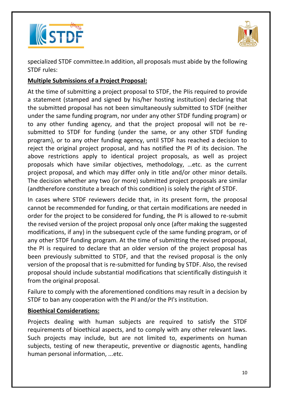



specialized STDF committee.In addition, all proposals must abide by the following STDF rules:

#### **Multiple Submissions of a Project Proposal:**

At the time of submitting a project proposal to STDF, the PIis required to provide a statement (stamped and signed by his/her hosting institution) declaring that the submitted proposal has not been simultaneously submitted to STDF (neither under the same funding program, nor under any other STDF funding program) or to any other funding agency, and that the project proposal will not be resubmitted to STDF for funding (under the same, or any other STDF funding program), or to any other funding agency, until STDF has reached a decision to reject the original project proposal, and has notified the PI of its decision. The above restrictions apply to identical project proposals, as well as project proposals which have similar objectives, methodology, …etc. as the current project proposal, and which may differ only in title and/or other minor details. The decision whether any two (or more) submitted project proposals are similar (andtherefore constitute a breach of this condition) is solely the right of STDF.

In cases where STDF reviewers decide that, in its present form, the proposal cannot be recommended for funding, or that certain modifications are needed in order for the project to be considered for funding, the PI is allowed to re-submit the revised version of the project proposal only once (after making the suggested modifications, if any) in the subsequent cycle of the same funding program, or of any other STDF funding program. At the time of submitting the revised proposal, the PI is required to declare that an older version of the project proposal has been previously submitted to STDF, and that the revised proposal is the only version of the proposal that is re-submitted for funding by STDF. Also, the revised proposal should include substantial modifications that scientifically distinguish it from the original proposal.

Failure to comply with the aforementioned conditions may result in a decision by STDF to ban any cooperation with the PI and/or the PI's institution.

#### **Bioethical Considerations:**

Projects dealing with human subjects are required to satisfy the STDF requirements of bioethical aspects, and to comply with any other relevant laws. Such projects may include, but are not limited to, experiments on human subjects, testing of new therapeutic, preventive or diagnostic agents, handling human personal information, ...etc.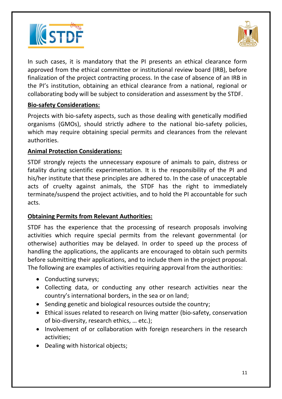



In such cases, it is mandatory that the PI presents an ethical clearance form approved from the ethical committee or institutional review board (IRB), before finalization of the project contracting process. In the case of absence of an IRB in the PI's institution, obtaining an ethical clearance from a national, regional or collaborating body will be subject to consideration and assessment by the STDF.

#### **Bio-safety Considerations:**

Projects with bio-safety aspects, such as those dealing with genetically modified organisms (GMOs), should strictly adhere to the national bio-safety policies, which may require obtaining special permits and clearances from the relevant authorities.

#### **Animal Protection Considerations:**

STDF strongly rejects the unnecessary exposure of animals to pain, distress or fatality during scientific experimentation. It is the responsibility of the PI and his/her institute that these principles are adhered to. In the case of unacceptable acts of cruelty against animals, the STDF has the right to immediately terminate/suspend the project activities, and to hold the PI accountable for such acts.

#### **Obtaining Permits from Relevant Authorities:**

STDF has the experience that the processing of research proposals involving activities which require special permits from the relevant governmental (or otherwise) authorities may be delayed. In order to speed up the process of handling the applications, the applicants are encouraged to obtain such permits before submitting their applications, and to include them in the project proposal. The following are examples of activities requiring approval from the authorities:

- Conducting surveys;
- Collecting data, or conducting any other research activities near the country's international borders, in the sea or on land;
- Sending genetic and biological resources outside the country;
- Ethical issues related to research on living matter (bio-safety, conservation of bio-diversity, research ethics, … etc.);
- Involvement of or collaboration with foreign researchers in the research activities;
- Dealing with historical objects;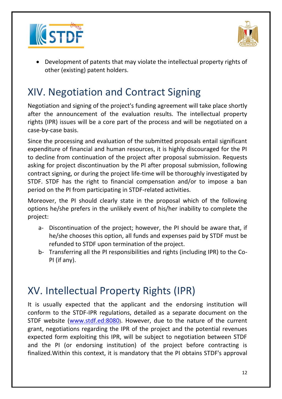



• Development of patents that may violate the intellectual property rights of other (existing) patent holders.

# XIV. Negotiation and Contract Signing

Negotiation and signing of the project's funding agreement will take place shortly after the announcement of the evaluation results. The intellectual property rights (IPR) issues will be a core part of the process and will be negotiated on a case-by-case basis.

Since the processing and evaluation of the submitted proposals entail significant expenditure of financial and human resources, it is highly discouraged for the PI to decline from continuation of the project after proposal submission. Requests asking for project discontinuation by the PI after proposal submission, following contract signing, or during the project life-time will be thoroughly investigated by STDF. STDF has the right to financial compensation and/or to impose a ban period on the PI from participating in STDF-related activities.

Moreover, the PI should clearly state in the proposal which of the following options he/she prefers in the unlikely event of his/her inability to complete the project:

- a- Discontinuation of the project; however, the PI should be aware that, if he/she chooses this option, all funds and expenses paid by STDF must be refunded to STDF upon termination of the project.
- b- Transferring all the PI responsibilities and rights (including IPR) to the Co-PI (if any).

## XV. Intellectual Property Rights (IPR)

It is usually expected that the applicant and the endorsing institution will conform to the STDF-IPR regulations, detailed as a separate document on the STDF website [\(www.stdf.ed:8080](http://www.stdf.ed:8080/)). However, due to the nature of the current grant, negotiations regarding the IPR of the project and the potential revenues expected form exploiting this IPR, will be subject to negotiation between STDF and the PI (or endorsing institution) of the project before contracting is finalized.Within this context, it is mandatory that the PI obtains STDF's approval